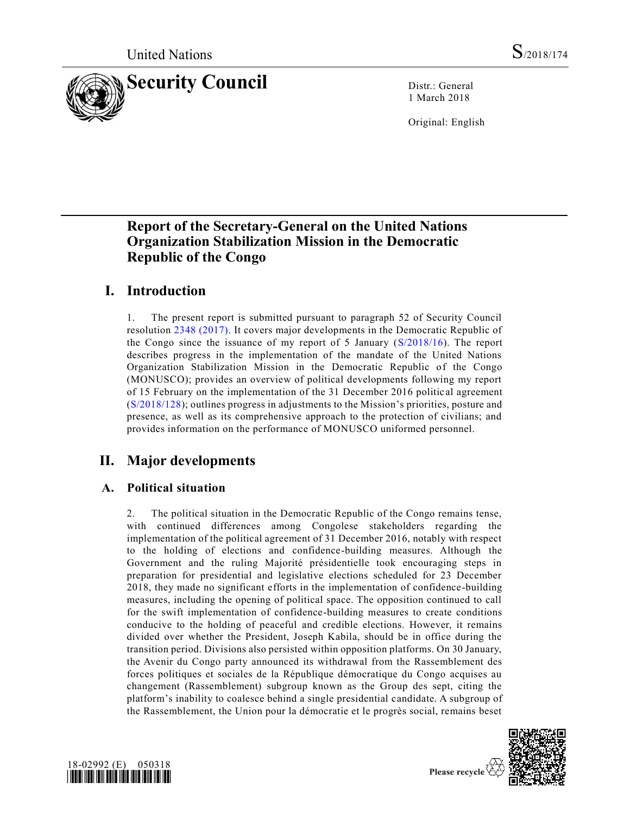

1 March 2018

Original: English

# **Report of the Secretary-General on the United Nations Organization Stabilization Mission in the Democratic Republic of the Congo**

# **I. Introduction**

1. The present report is submitted pursuant to paragraph 52 of Security Council resolution [2348 \(2017\).](https://undocs.org/S/RES/2348(2017)) It covers major developments in the Democratic Republic of the Congo since the issuance of my report of 5 January [\(S/2018/16\)](https://undocs.org/S/2018/16). The report describes progress in the implementation of the mandate of the United Nations Organization Stabilization Mission in the Democratic Republic of the Congo (MONUSCO); provides an overview of political developments following my report of 15 February on the implementation of the 31 December 2016 politic al agreement [\(S/2018/128\)](https://undocs.org/S/2018/128); outlines progress in adjustments to the Mission's priorities, posture and presence, as well as its comprehensive approach to the protection of civilians; and provides information on the performance of MONUSCO uniformed personnel.

# **II. Major developments**

## **A. Political situation**

2. The political situation in the Democratic Republic of the Congo remains tense, with continued differences among Congolese stakeholders regarding the implementation of the political agreement of 31 December 2016, notably with respect to the holding of elections and confidence-building measures. Although the Government and the ruling Majorité présidentielle took encouraging steps in preparation for presidential and legislative elections scheduled for 23 December 2018, they made no significant efforts in the implementation of confidence-building measures, including the opening of political space. The opposition continued to call for the swift implementation of confidence-building measures to create conditions conducive to the holding of peaceful and credible elections. However, it remains divided over whether the President, Joseph Kabila, should be in office during the transition period. Divisions also persisted within opposition platforms. On 30 January, the Avenir du Congo party announced its withdrawal from the Rassemblement des forces politiques et sociales de la République démocratique du Congo acquises au changement (Rassemblement) subgroup known as the Group des sept, citing the platform's inability to coalesce behind a single presidential candidate. A subgroup of the Rassemblement, the Union pour la démocratie et le progrès social, remains beset



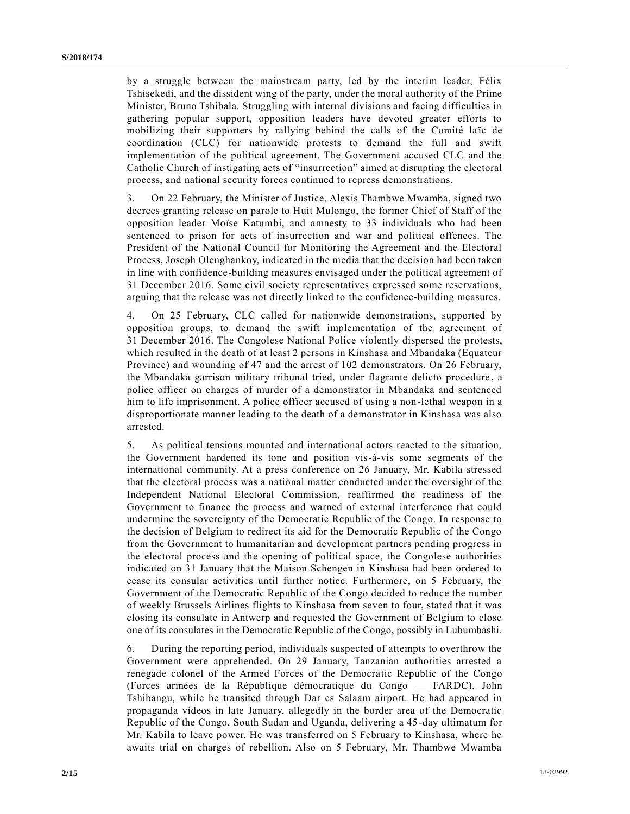by a struggle between the mainstream party, led by the interim leader, Félix Tshisekedi, and the dissident wing of the party, under the moral authority of the Prime Minister, Bruno Tshibala. Struggling with internal divisions and facing difficulties in gathering popular support, opposition leaders have devoted greater efforts to mobilizing their supporters by rallying behind the calls of the Comité laïc de coordination (CLC) for nationwide protests to demand the full and swift implementation of the political agreement. The Government accused CLC and the Catholic Church of instigating acts of "insurrection" aimed at disrupting the electoral process, and national security forces continued to repress demonstrations.

3. On 22 February, the Minister of Justice, Alexis Thambwe Mwamba, signed two decrees granting release on parole to Huit Mulongo, the former Chief of Staff of the opposition leader Moïse Katumbi, and amnesty to 33 individuals who had been sentenced to prison for acts of insurrection and war and political offences. The President of the National Council for Monitoring the Agreement and the Electoral Process, Joseph Olenghankoy, indicated in the media that the decision had been taken in line with confidence-building measures envisaged under the political agreement of 31 December 2016. Some civil society representatives expressed some reservations, arguing that the release was not directly linked to the confidence-building measures.

4. On 25 February, CLC called for nationwide demonstrations, supported by opposition groups, to demand the swift implementation of the agreement of 31 December 2016. The Congolese National Police violently dispersed the protests, which resulted in the death of at least 2 persons in Kinshasa and Mbandaka (Equateur Province) and wounding of 47 and the arrest of 102 demonstrators. On 26 February, the Mbandaka garrison military tribunal tried, under flagrante delicto procedure , a police officer on charges of murder of a demonstrator in Mbandaka and sentenced him to life imprisonment. A police officer accused of using a non-lethal weapon in a disproportionate manner leading to the death of a demonstrator in Kinshasa was also arrested.

5. As political tensions mounted and international actors reacted to the situation, the Government hardened its tone and position vis-à-vis some segments of the international community. At a press conference on 26 January, Mr. Kabila stressed that the electoral process was a national matter conducted under the oversight of the Independent National Electoral Commission, reaffirmed the readiness of the Government to finance the process and warned of external interference that could undermine the sovereignty of the Democratic Republic of the Congo. In response to the decision of Belgium to redirect its aid for the Democratic Republic of the Congo from the Government to humanitarian and development partners pending progress in the electoral process and the opening of political space, the Congolese authorities indicated on 31 January that the Maison Schengen in Kinshasa had been ordered to cease its consular activities until further notice. Furthermore, on 5 February, the Government of the Democratic Republic of the Congo decided to reduce the number of weekly Brussels Airlines flights to Kinshasa from seven to four, stated that it was closing its consulate in Antwerp and requested the Government of Belgium to close one of its consulates in the Democratic Republic of the Congo, possibly in Lubumbashi.

6. During the reporting period, individuals suspected of attempts to overthrow the Government were apprehended. On 29 January, Tanzanian authorities arrested a renegade colonel of the Armed Forces of the Democratic Republic of the Congo (Forces armées de la République démocratique du Congo — FARDC), John Tshibangu, while he transited through Dar es Salaam airport. He had appeared in propaganda videos in late January, allegedly in the border area of the Democratic Republic of the Congo, South Sudan and Uganda, delivering a 45-day ultimatum for Mr. Kabila to leave power. He was transferred on 5 February to Kinshasa, where he awaits trial on charges of rebellion. Also on 5 February, Mr. Thambwe Mwamba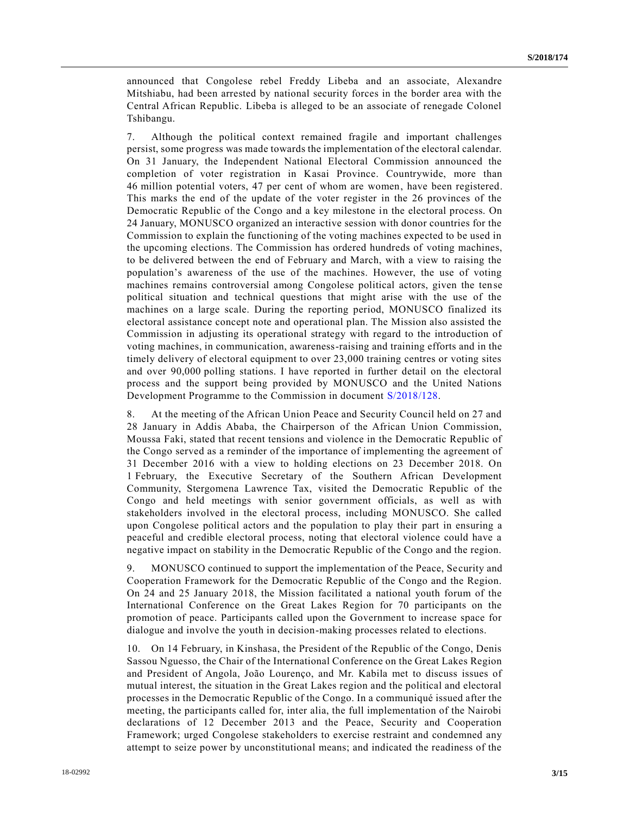announced that Congolese rebel Freddy Libeba and an associate, Alexandre Mitshiabu, had been arrested by national security forces in the border area with the Central African Republic. Libeba is alleged to be an associate of renegade Colonel Tshibangu.

7. Although the political context remained fragile and important challenges persist, some progress was made towards the implementation of the electoral calendar. On 31 January, the Independent National Electoral Commission announced the completion of voter registration in Kasai Province. Countrywide, more than 46 million potential voters, 47 per cent of whom are women, have been registered. This marks the end of the update of the voter register in the 26 provinces of the Democratic Republic of the Congo and a key milestone in the electoral process. On 24 January, MONUSCO organized an interactive session with donor countries for the Commission to explain the functioning of the voting machines expected to be used in the upcoming elections. The Commission has ordered hundreds of voting machines, to be delivered between the end of February and March, with a view to raising the population's awareness of the use of the machines. However, the use of voting machines remains controversial among Congolese political actors, given the tense political situation and technical questions that might arise with the use of the machines on a large scale. During the reporting period, MONUSCO finalized its electoral assistance concept note and operational plan. The Mission also assisted the Commission in adjusting its operational strategy with regard to the introduction of voting machines, in communication, awareness-raising and training efforts and in the timely delivery of electoral equipment to over 23,000 training centres or voting sites and over 90,000 polling stations. I have reported in further detail on the electoral process and the support being provided by MONUSCO and the United Nations Development Programme to the Commission in document [S/2018/128.](https://undocs.org/S/2018/128..)

8. At the meeting of the African Union Peace and Security Council held on 27 and 28 January in Addis Ababa, the Chairperson of the African Union Commission, Moussa Faki, stated that recent tensions and violence in the Democratic Republic of the Congo served as a reminder of the importance of implementing the agreement of 31 December 2016 with a view to holding elections on 23 December 2018. On 1 February, the Executive Secretary of the Southern African Development Community, Stergomena Lawrence Tax, visited the Democratic Republic of the Congo and held meetings with senior government officials, as well as with stakeholders involved in the electoral process, including MONUSCO. She called upon Congolese political actors and the population to play their part in ensuring a peaceful and credible electoral process, noting that electoral violence could have a negative impact on stability in the Democratic Republic of the Congo and the region.

9. MONUSCO continued to support the implementation of the Peace, Security and Cooperation Framework for the Democratic Republic of the Congo and the Region. On 24 and 25 January 2018, the Mission facilitated a national youth forum of the International Conference on the Great Lakes Region for 70 participants on the promotion of peace. Participants called upon the Government to increase space for dialogue and involve the youth in decision-making processes related to elections.

10. On 14 February, in Kinshasa, the President of the Republic of the Congo, Denis Sassou Nguesso, the Chair of the International Conference on the Great Lakes Region and President of Angola, João Lourenço, and Mr. Kabila met to discuss issues of mutual interest, the situation in the Great Lakes region and the political and electoral processes in the Democratic Republic of the Congo. In a communiqué issued after the meeting, the participants called for, inter alia, the full implementation of the Nairobi declarations of 12 December 2013 and the Peace, Security and Cooperation Framework; urged Congolese stakeholders to exercise restraint and condemned any attempt to seize power by unconstitutional means; and indicated the readiness of the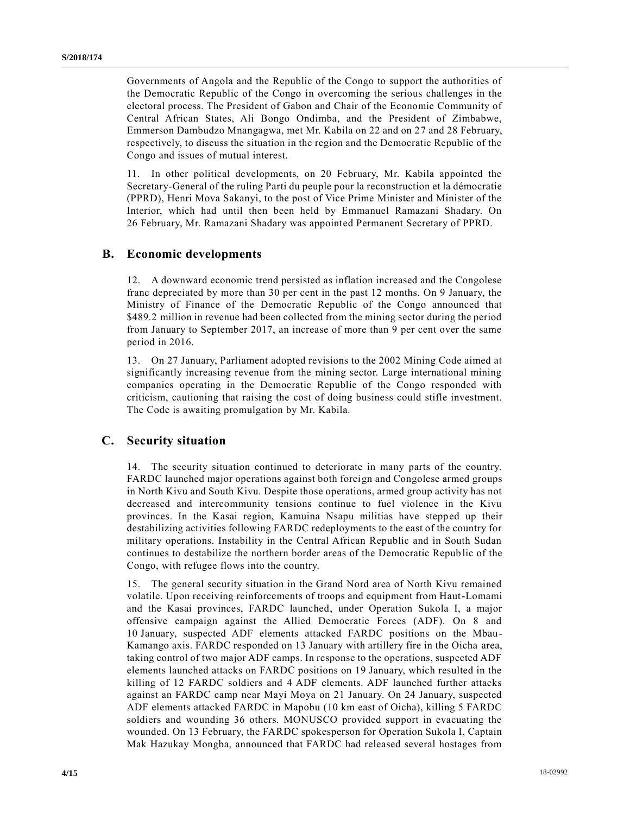Governments of Angola and the Republic of the Congo to support the authorities of the Democratic Republic of the Congo in overcoming the serious challenges in the electoral process. The President of Gabon and Chair of the Economic Community of Central African States, Ali Bongo Ondimba, and the President of Zimbabwe, Emmerson Dambudzo Mnangagwa, met Mr. Kabila on 22 and on 27 and 28 February, respectively, to discuss the situation in the region and the Democratic Republic of the Congo and issues of mutual interest.

11. In other political developments, on 20 February, Mr. Kabila appointed the Secretary-General of the ruling Parti du peuple pour la reconstruction et la démocratie (PPRD), Henri Mova Sakanyi, to the post of Vice Prime Minister and Minister of the Interior, which had until then been held by Emmanuel Ramazani Shadary. On 26 February, Mr. Ramazani Shadary was appointed Permanent Secretary of PPRD.

### **B. Economic developments**

12. A downward economic trend persisted as inflation increased and the Congolese franc depreciated by more than 30 per cent in the past 12 months. On 9 January, the Ministry of Finance of the Democratic Republic of the Congo announced that \$489.2 million in revenue had been collected from the mining sector during the period from January to September 2017, an increase of more than 9 per cent over the same period in 2016.

13. On 27 January, Parliament adopted revisions to the 2002 Mining Code aimed at significantly increasing revenue from the mining sector. Large international mining companies operating in the Democratic Republic of the Congo responded with criticism, cautioning that raising the cost of doing business could stifle investment. The Code is awaiting promulgation by Mr. Kabila.

### **C. Security situation**

14. The security situation continued to deteriorate in many parts of the country. FARDC launched major operations against both foreign and Congolese armed groups in North Kivu and South Kivu. Despite those operations, armed group activity has not decreased and intercommunity tensions continue to fuel violence in the Kivu provinces. In the Kasai region, Kamuina Nsapu militias have stepped up their destabilizing activities following FARDC redeployments to the east of the country for military operations. Instability in the Central African Republic and in South Sudan continues to destabilize the northern border areas of the Democratic Repub lic of the Congo, with refugee flows into the country.

15. The general security situation in the Grand Nord area of North Kivu remained volatile. Upon receiving reinforcements of troops and equipment from Haut-Lomami and the Kasai provinces, FARDC launched, under Operation Sukola I, a major offensive campaign against the Allied Democratic Forces (ADF). On 8 and 10 January, suspected ADF elements attacked FARDC positions on the Mbau-Kamango axis. FARDC responded on 13 January with artillery fire in the Oicha area, taking control of two major ADF camps. In response to the operations, suspected ADF elements launched attacks on FARDC positions on 19 January, which resulted in the killing of 12 FARDC soldiers and 4 ADF elements. ADF launched further attacks against an FARDC camp near Mayi Moya on 21 January. On 24 January, suspected ADF elements attacked FARDC in Mapobu (10 km east of Oicha), killing 5 FARDC soldiers and wounding 36 others. MONUSCO provided support in evacuating the wounded. On 13 February, the FARDC spokesperson for Operation Sukola I, Captain Mak Hazukay Mongba, announced that FARDC had released several hostages from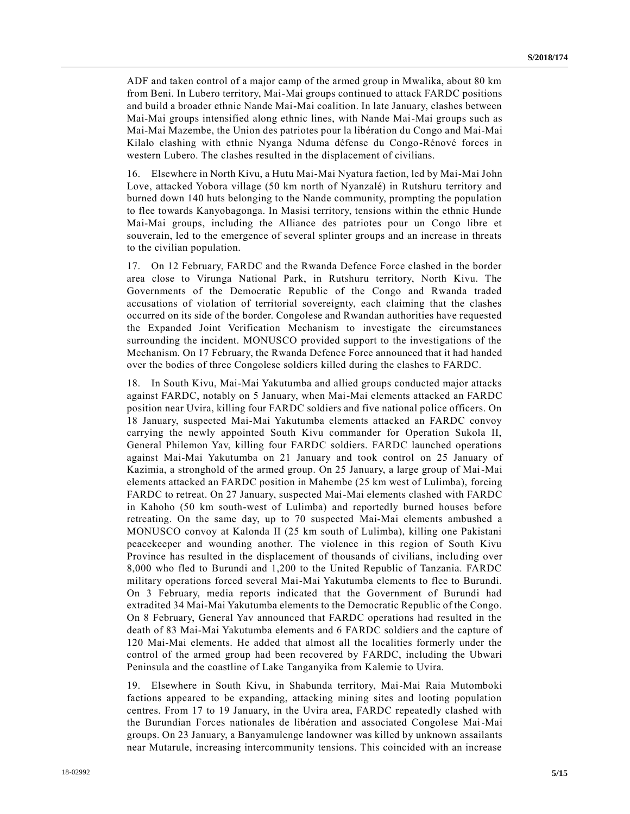ADF and taken control of a major camp of the armed group in Mwalika, about 80 km from Beni. In Lubero territory, Mai-Mai groups continued to attack FARDC positions and build a broader ethnic Nande Mai-Mai coalition. In late January, clashes between Mai-Mai groups intensified along ethnic lines, with Nande Mai-Mai groups such as Mai-Mai Mazembe, the Union des patriotes pour la libération du Congo and Mai-Mai Kilalo clashing with ethnic Nyanga Nduma défense du Congo-Rénové forces in western Lubero. The clashes resulted in the displacement of civilians.

16. Elsewhere in North Kivu, a Hutu Mai-Mai Nyatura faction, led by Mai-Mai John Love, attacked Yobora village (50 km north of Nyanzalé) in Rutshuru territory and burned down 140 huts belonging to the Nande community, prompting the population to flee towards Kanyobagonga. In Masisi territory, tensions within the ethnic Hunde Mai-Mai groups, including the Alliance des patriotes pour un Congo libre et souverain, led to the emergence of several splinter groups and an increase in threats to the civilian population.

17. On 12 February, FARDC and the Rwanda Defence Force clashed in the border area close to Virunga National Park, in Rutshuru territory, North Kivu. The Governments of the Democratic Republic of the Congo and Rwanda traded accusations of violation of territorial sovereignty, each claiming that the clashes occurred on its side of the border. Congolese and Rwandan authorities have requested the Expanded Joint Verification Mechanism to investigate the circumstances surrounding the incident. MONUSCO provided support to the investigations of the Mechanism. On 17 February, the Rwanda Defence Force announced that it had handed over the bodies of three Congolese soldiers killed during the clashes to FARDC.

18. In South Kivu, Mai-Mai Yakutumba and allied groups conducted major attacks against FARDC, notably on 5 January, when Mai-Mai elements attacked an FARDC position near Uvira, killing four FARDC soldiers and five national police officers. On 18 January, suspected Mai-Mai Yakutumba elements attacked an FARDC convoy carrying the newly appointed South Kivu commander for Operation Sukola II, General Philemon Yav, killing four FARDC soldiers. FARDC launched operations against Mai-Mai Yakutumba on 21 January and took control on 25 January of Kazimia, a stronghold of the armed group. On 25 January, a large group of Mai-Mai elements attacked an FARDC position in Mahembe (25 km west of Lulimba), forcing FARDC to retreat. On 27 January, suspected Mai-Mai elements clashed with FARDC in Kahoho (50 km south-west of Lulimba) and reportedly burned houses before retreating. On the same day, up to 70 suspected Mai-Mai elements ambushed a MONUSCO convoy at Kalonda II (25 km south of Lulimba), killing one Pakistani peacekeeper and wounding another. The violence in this region of South Kivu Province has resulted in the displacement of thousands of civilians, including over 8,000 who fled to Burundi and 1,200 to the United Republic of Tanzania. FARDC military operations forced several Mai-Mai Yakutumba elements to flee to Burundi. On 3 February, media reports indicated that the Government of Burundi had extradited 34 Mai-Mai Yakutumba elements to the Democratic Republic of the Congo. On 8 February, General Yav announced that FARDC operations had resulted in the death of 83 Mai-Mai Yakutumba elements and 6 FARDC soldiers and the capture of 120 Mai-Mai elements. He added that almost all the localities formerly under the control of the armed group had been recovered by FARDC, including the Ubwari Peninsula and the coastline of Lake Tanganyika from Kalemie to Uvira.

19. Elsewhere in South Kivu, in Shabunda territory, Mai-Mai Raia Mutomboki factions appeared to be expanding, attacking mining sites and looting population centres. From 17 to 19 January, in the Uvira area, FARDC repeatedly clashed with the Burundian Forces nationales de libération and associated Congolese Mai-Mai groups. On 23 January, a Banyamulenge landowner was killed by unknown assailants near Mutarule, increasing intercommunity tensions. This coincided with an increase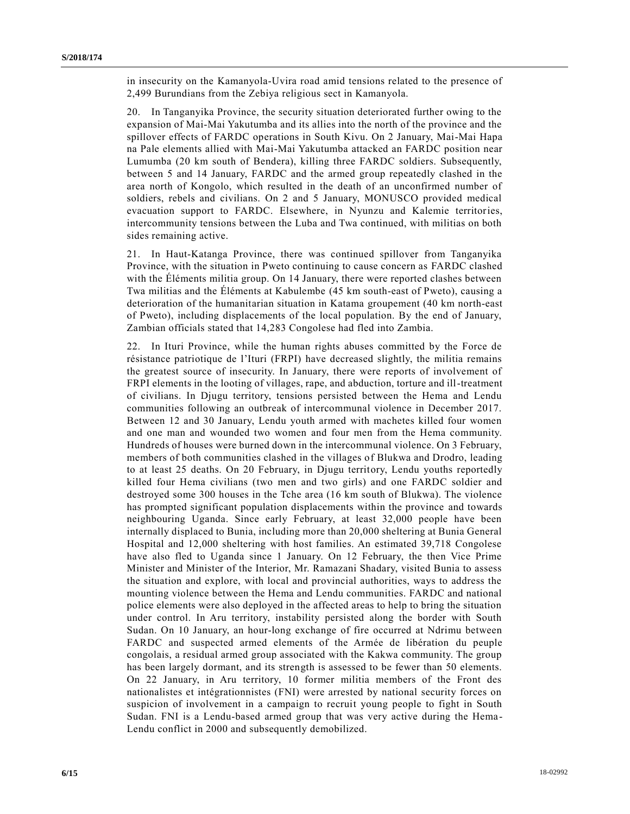in insecurity on the Kamanyola-Uvira road amid tensions related to the presence of 2,499 Burundians from the Zebiya religious sect in Kamanyola.

20. In Tanganyika Province, the security situation deteriorated further owing to the expansion of Mai-Mai Yakutumba and its allies into the north of the province and the spillover effects of FARDC operations in South Kivu. On 2 January, Mai-Mai Hapa na Pale elements allied with Mai-Mai Yakutumba attacked an FARDC position near Lumumba (20 km south of Bendera), killing three FARDC soldiers. Subsequently, between 5 and 14 January, FARDC and the armed group repeatedly clashed in the area north of Kongolo, which resulted in the death of an unconfirmed number of soldiers, rebels and civilians. On 2 and 5 January, MONUSCO provided medical evacuation support to FARDC. Elsewhere, in Nyunzu and Kalemie territories, intercommunity tensions between the Luba and Twa continued, with militias on both sides remaining active.

21. In Haut-Katanga Province, there was continued spillover from Tanganyika Province, with the situation in Pweto continuing to cause concern as FARDC clashed with the Éléments militia group. On 14 January, there were reported clashes between Twa militias and the Éléments at Kabulembe (45 km south-east of Pweto), causing a deterioration of the humanitarian situation in Katama groupement (40 km north-east of Pweto), including displacements of the local population. By the end of January, Zambian officials stated that 14,283 Congolese had fled into Zambia.

22. In Ituri Province, while the human rights abuses committed by the Force de résistance patriotique de l'Ituri (FRPI) have decreased slightly, the militia remains the greatest source of insecurity. In January, there were reports of involvement of FRPI elements in the looting of villages, rape, and abduction, torture and ill-treatment of civilians. In Djugu territory, tensions persisted between the Hema and Lendu communities following an outbreak of intercommunal violence in December 2017. Between 12 and 30 January, Lendu youth armed with machetes killed four women and one man and wounded two women and four men from the Hema community. Hundreds of houses were burned down in the intercommunal violence. On 3 February, members of both communities clashed in the villages of Blukwa and Drodro, leading to at least 25 deaths. On 20 February, in Djugu territory, Lendu youths reportedly killed four Hema civilians (two men and two girls) and one FARDC soldier and destroyed some 300 houses in the Tche area (16 km south of Blukwa). The violence has prompted significant population displacements within the province and towards neighbouring Uganda. Since early February, at least 32,000 people have been internally displaced to Bunia, including more than 20,000 sheltering at Bunia General Hospital and 12,000 sheltering with host families. An estimated 39,718 Congolese have also fled to Uganda since 1 January. On 12 February, the then Vice Prime Minister and Minister of the Interior, Mr. Ramazani Shadary, visited Bunia to assess the situation and explore, with local and provincial authorities, ways to address the mounting violence between the Hema and Lendu communities. FARDC and national police elements were also deployed in the affected areas to help to bring the situation under control. In Aru territory, instability persisted along the border with South Sudan. On 10 January, an hour-long exchange of fire occurred at Ndrimu between FARDC and suspected armed elements of the Armée de libération du peuple congolais, a residual armed group associated with the Kakwa community. The group has been largely dormant, and its strength is assessed to be fewer than 50 elements. On 22 January, in Aru territory, 10 former militia members of the Front des nationalistes et intégrationnistes (FNI) were arrested by national security forces on suspicion of involvement in a campaign to recruit young people to fight in South Sudan. FNI is a Lendu-based armed group that was very active during the Hema-Lendu conflict in 2000 and subsequently demobilized.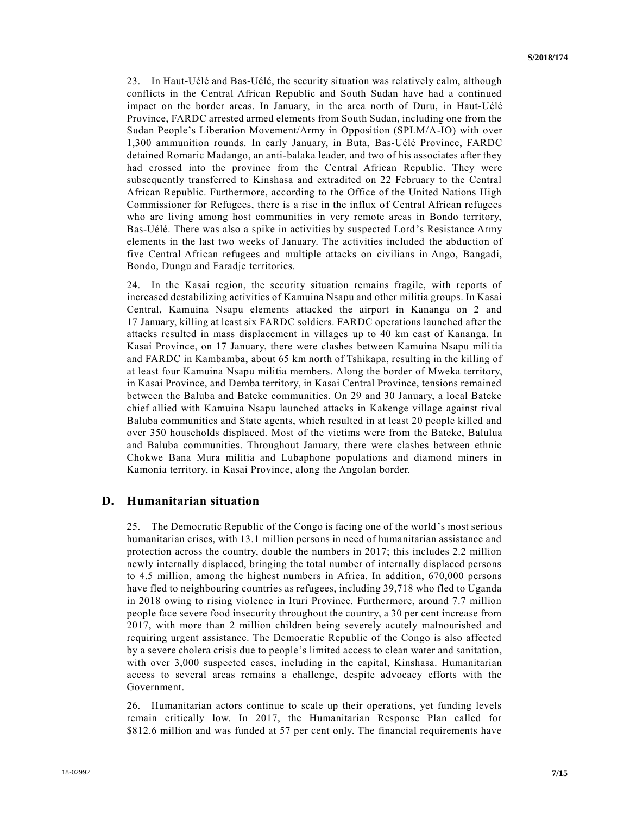23. In Haut-Uélé and Bas-Uélé, the security situation was relatively calm, although conflicts in the Central African Republic and South Sudan have had a continued impact on the border areas. In January, in the area north of Duru, in Haut-Uélé Province, FARDC arrested armed elements from South Sudan, including one from the Sudan People's Liberation Movement/Army in Opposition (SPLM/A-IO) with over 1,300 ammunition rounds. In early January, in Buta, Bas-Uélé Province, FARDC detained Romaric Madango, an anti-balaka leader, and two of his associates after they had crossed into the province from the Central African Republic. They were subsequently transferred to Kinshasa and extradited on 22 February to the Central African Republic. Furthermore, according to the Office of the United Nations High Commissioner for Refugees, there is a rise in the influx of Central African refugees who are living among host communities in very remote areas in Bondo territory, Bas-Uélé. There was also a spike in activities by suspected Lord's Resistance Army elements in the last two weeks of January. The activities included the abduction of five Central African refugees and multiple attacks on civilians in Ango, Bangadi, Bondo, Dungu and Faradje territories.

24. In the Kasai region, the security situation remains fragile, with reports of increased destabilizing activities of Kamuina Nsapu and other militia groups. In Kasai Central, Kamuina Nsapu elements attacked the airport in Kananga on 2 and 17 January, killing at least six FARDC soldiers. FARDC operations launched after the attacks resulted in mass displacement in villages up to 40 km east of Kananga. In Kasai Province, on 17 January, there were clashes between Kamuina Nsapu militia and FARDC in Kambamba, about 65 km north of Tshikapa, resulting in the killing of at least four Kamuina Nsapu militia members. Along the border of Mweka territory, in Kasai Province, and Demba territory, in Kasai Central Province, tensions remained between the Baluba and Bateke communities. On 29 and 30 January, a local Bateke chief allied with Kamuina Nsapu launched attacks in Kakenge village against riv al Baluba communities and State agents, which resulted in at least 20 people killed and over 350 households displaced. Most of the victims were from the Bateke, Balulua and Baluba communities. Throughout January, there were clashes between ethnic Chokwe Bana Mura militia and Lubaphone populations and diamond miners in Kamonia territory, in Kasai Province, along the Angolan border.

### **D. Humanitarian situation**

25. The Democratic Republic of the Congo is facing one of the world's most serious humanitarian crises, with 13.1 million persons in need of humanitarian assistance and protection across the country, double the numbers in 2017; this includes 2.2 million newly internally displaced, bringing the total number of internally displaced persons to 4.5 million, among the highest numbers in Africa. In addition, 670,000 persons have fled to neighbouring countries as refugees, including 39,718 who fled to Uganda in 2018 owing to rising violence in Ituri Province. Furthermore, around 7.7 million people face severe food insecurity throughout the country, a 30 per cent increase from 2017, with more than 2 million children being severely acutely malnourished and requiring urgent assistance. The Democratic Republic of the Congo is also affected by a severe cholera crisis due to people's limited access to clean water and sanitation, with over 3,000 suspected cases, including in the capital, Kinshasa. Humanitarian access to several areas remains a challenge, despite advocacy efforts with the Government.

26. Humanitarian actors continue to scale up their operations, yet funding levels remain critically low. In 2017, the Humanitarian Response Plan called for \$812.6 million and was funded at 57 per cent only. The financial requirements have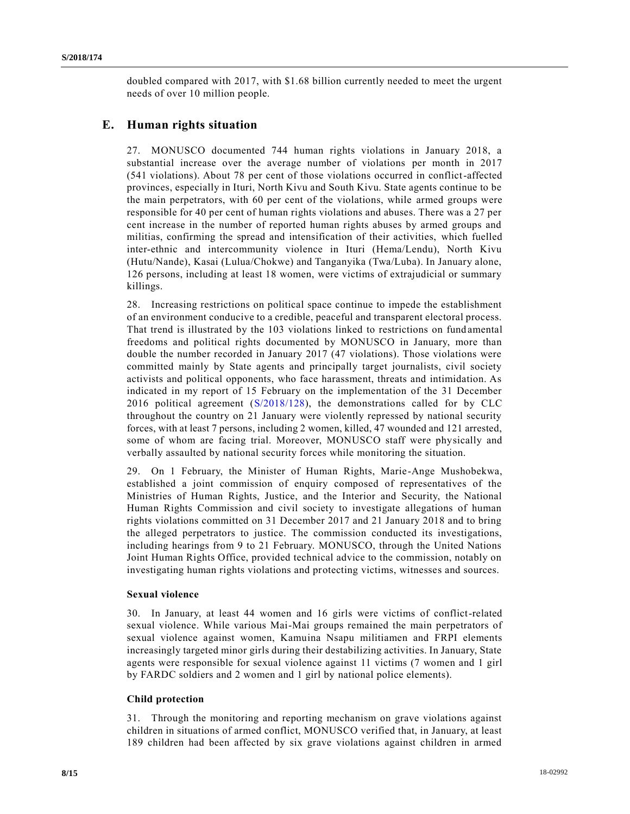doubled compared with 2017, with \$1.68 billion currently needed to meet the urgent needs of over 10 million people.

### **E. Human rights situation**

27. MONUSCO documented 744 human rights violations in January 2018, a substantial increase over the average number of violations per month in 2017 (541 violations). About 78 per cent of those violations occurred in conflict-affected provinces, especially in Ituri, North Kivu and South Kivu. State agents continue to be the main perpetrators, with 60 per cent of the violations, while armed groups were responsible for 40 per cent of human rights violations and abuses. There was a 27 per cent increase in the number of reported human rights abuses by armed groups and militias, confirming the spread and intensification of their activities, which fuelled inter-ethnic and intercommunity violence in Ituri (Hema/Lendu), North Kivu (Hutu/Nande), Kasai (Lulua/Chokwe) and Tanganyika (Twa/Luba). In January alone, 126 persons, including at least 18 women, were victims of extrajudicial or summary killings.

28. Increasing restrictions on political space continue to impede the establishment of an environment conducive to a credible, peaceful and transparent electoral process. That trend is illustrated by the 103 violations linked to restrictions on fund amental freedoms and political rights documented by MONUSCO in January, more than double the number recorded in January 2017 (47 violations). Those violations were committed mainly by State agents and principally target journalists, civil society activists and political opponents, who face harassment, threats and intimidation. As indicated in my report of 15 February on the implementation of the 31 December 2016 political agreement [\(S/2018/128\)](https://undocs.org/S/2018/128), the demonstrations called for by CLC throughout the country on 21 January were violently repressed by national security forces, with at least 7 persons, including 2 women, killed, 47 wounded and 121 arrested, some of whom are facing trial. Moreover, MONUSCO staff were physically and verbally assaulted by national security forces while monitoring the situation.

29. On 1 February, the Minister of Human Rights, Marie-Ange Mushobekwa, established a joint commission of enquiry composed of representatives of the Ministries of Human Rights, Justice, and the Interior and Security, the National Human Rights Commission and civil society to investigate allegations of human rights violations committed on 31 December 2017 and 21 January 2018 and to bring the alleged perpetrators to justice. The commission conducted its investigations, including hearings from 9 to 21 February. MONUSCO, through the United Nations Joint Human Rights Office, provided technical advice to the commission, notably on investigating human rights violations and protecting victims, witnesses and sources.

#### **Sexual violence**

30. In January, at least 44 women and 16 girls were victims of conflict-related sexual violence. While various Mai-Mai groups remained the main perpetrators of sexual violence against women, Kamuina Nsapu militiamen and FRPI elements increasingly targeted minor girls during their destabilizing activities. In January, State agents were responsible for sexual violence against 11 victims (7 women and 1 girl by FARDC soldiers and 2 women and 1 girl by national police elements).

### **Child protection**

31. Through the monitoring and reporting mechanism on grave violations against children in situations of armed conflict, MONUSCO verified that, in January, at least 189 children had been affected by six grave violations against children in armed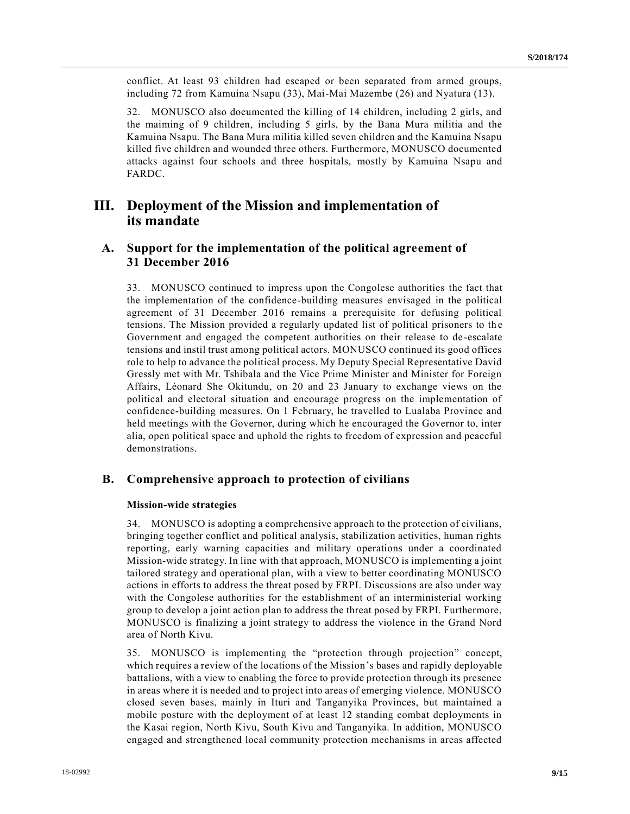conflict. At least 93 children had escaped or been separated from armed groups, including 72 from Kamuina Nsapu (33), Mai-Mai Mazembe (26) and Nyatura (13).

32. MONUSCO also documented the killing of 14 children, including 2 girls, and the maiming of 9 children, including 5 girls, by the Bana Mura militia and the Kamuina Nsapu. The Bana Mura militia killed seven children and the Kamuina Nsapu killed five children and wounded three others. Furthermore, MONUSCO documented attacks against four schools and three hospitals, mostly by Kamuina Nsapu and FARDC.

# **III. Deployment of the Mission and implementation of its mandate**

## **A. Support for the implementation of the political agreement of 31 December 2016**

33. MONUSCO continued to impress upon the Congolese authorities the fact that the implementation of the confidence-building measures envisaged in the political agreement of 31 December 2016 remains a prerequisite for defusing political tensions. The Mission provided a regularly updated list of political prisoners to th e Government and engaged the competent authorities on their release to de -escalate tensions and instil trust among political actors. MONUSCO continued its good offices role to help to advance the political process. My Deputy Special Representative David Gressly met with Mr. Tshibala and the Vice Prime Minister and Minister for Foreign Affairs, Léonard She Okitundu, on 20 and 23 January to exchange views on the political and electoral situation and encourage progress on the implementation of confidence-building measures. On 1 February, he travelled to Lualaba Province and held meetings with the Governor, during which he encouraged the Governor to, inter alia, open political space and uphold the rights to freedom of expression and peaceful demonstrations.

### **B. Comprehensive approach to protection of civilians**

#### **Mission-wide strategies**

34. MONUSCO is adopting a comprehensive approach to the protection of civilians, bringing together conflict and political analysis, stabilization activities, human rights reporting, early warning capacities and military operations under a coordinated Mission-wide strategy. In line with that approach, MONUSCO is implementing a joint tailored strategy and operational plan, with a view to better coordinating MONUSCO actions in efforts to address the threat posed by FRPI. Discussions are also under way with the Congolese authorities for the establishment of an interministerial working group to develop a joint action plan to address the threat posed by FRPI. Furthermore, MONUSCO is finalizing a joint strategy to address the violence in the Grand Nord area of North Kivu.

35. MONUSCO is implementing the "protection through projection" concept, which requires a review of the locations of the Mission's bases and rapidly deployable battalions, with a view to enabling the force to provide protection through its presence in areas where it is needed and to project into areas of emerging violence. MONUSCO closed seven bases, mainly in Ituri and Tanganyika Provinces, but maintained a mobile posture with the deployment of at least 12 standing combat deployments in the Kasai region, North Kivu, South Kivu and Tanganyika. In addition, MONUSCO engaged and strengthened local community protection mechanisms in areas affected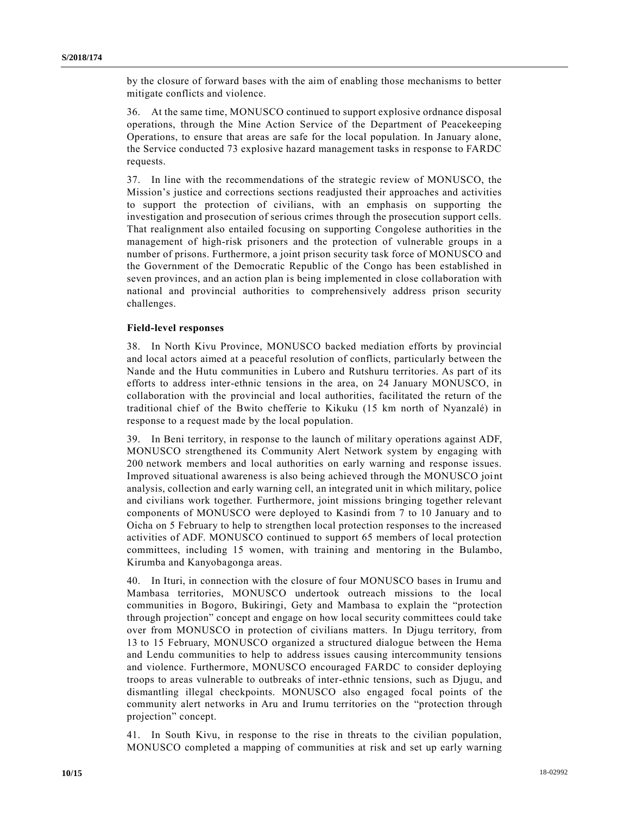by the closure of forward bases with the aim of enabling those mechanisms to better mitigate conflicts and violence.

36. At the same time, MONUSCO continued to support explosive ordnance disposal operations, through the Mine Action Service of the Department of Peacekeeping Operations, to ensure that areas are safe for the local population. In January alone, the Service conducted 73 explosive hazard management tasks in response to FARDC requests.

37. In line with the recommendations of the strategic review of MONUSCO, the Mission's justice and corrections sections readjusted their approaches and activities to support the protection of civilians, with an emphasis on supporting the investigation and prosecution of serious crimes through the prosecution support cells. That realignment also entailed focusing on supporting Congolese authorities in the management of high-risk prisoners and the protection of vulnerable groups in a number of prisons. Furthermore, a joint prison security task force of MONUSCO and the Government of the Democratic Republic of the Congo has been established in seven provinces, and an action plan is being implemented in close collaboration with national and provincial authorities to comprehensively address prison security challenges.

#### **Field-level responses**

38. In North Kivu Province, MONUSCO backed mediation efforts by provincial and local actors aimed at a peaceful resolution of conflicts, particularly between the Nande and the Hutu communities in Lubero and Rutshuru territories. As part of its efforts to address inter-ethnic tensions in the area, on 24 January MONUSCO, in collaboration with the provincial and local authorities, facilitated the return of the traditional chief of the Bwito chefferie to Kikuku (15 km north of Nyanzalé) in response to a request made by the local population.

39. In Beni territory, in response to the launch of military operations against ADF, MONUSCO strengthened its Community Alert Network system by engaging with 200 network members and local authorities on early warning and response issues. Improved situational awareness is also being achieved through the MONUSCO joi nt analysis, collection and early warning cell, an integrated unit in which military, police and civilians work together. Furthermore, joint missions bringing together relevant components of MONUSCO were deployed to Kasindi from 7 to 10 January and to Oicha on 5 February to help to strengthen local protection responses to the increased activities of ADF. MONUSCO continued to support 65 members of local protection committees, including 15 women, with training and mentoring in the Bulambo, Kirumba and Kanyobagonga areas.

40. In Ituri, in connection with the closure of four MONUSCO bases in Irumu and Mambasa territories, MONUSCO undertook outreach missions to the local communities in Bogoro, Bukiringi, Gety and Mambasa to explain the "protection through projection" concept and engage on how local security committees could take over from MONUSCO in protection of civilians matters. In Djugu territory, from 13 to 15 February, MONUSCO organized a structured dialogue between the Hema and Lendu communities to help to address issues causing intercommunity tensions and violence. Furthermore, MONUSCO encouraged FARDC to consider deploying troops to areas vulnerable to outbreaks of inter-ethnic tensions, such as Djugu, and dismantling illegal checkpoints. MONUSCO also engaged focal points of the community alert networks in Aru and Irumu territories on the "protection through projection" concept.

41. In South Kivu, in response to the rise in threats to the civilian population, MONUSCO completed a mapping of communities at risk and set up early warning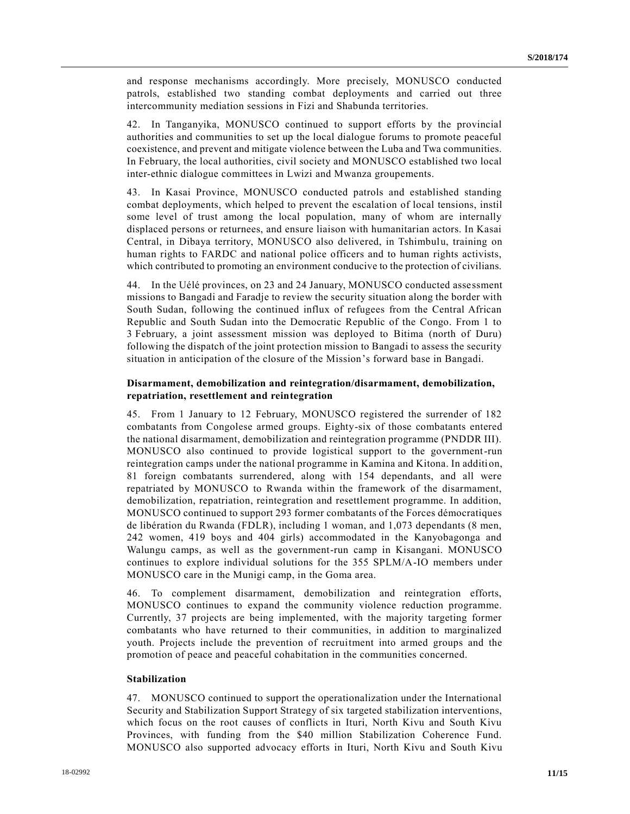and response mechanisms accordingly. More precisely, MONUSCO conducted patrols, established two standing combat deployments and carried out three intercommunity mediation sessions in Fizi and Shabunda territories.

42. In Tanganyika, MONUSCO continued to support efforts by the provincial authorities and communities to set up the local dialogue forums to promote peaceful coexistence, and prevent and mitigate violence between the Luba and Twa communities. In February, the local authorities, civil society and MONUSCO established two local inter-ethnic dialogue committees in Lwizi and Mwanza groupements.

43. In Kasai Province, MONUSCO conducted patrols and established standing combat deployments, which helped to prevent the escalation of local tensions, instil some level of trust among the local population, many of whom are internally displaced persons or returnees, and ensure liaison with humanitarian actors. In Kasai Central, in Dibaya territory, MONUSCO also delivered, in Tshimbulu, training on human rights to FARDC and national police officers and to human rights activists, which contributed to promoting an environment conducive to the protection of civilians.

44. In the Uélé provinces, on 23 and 24 January, MONUSCO conducted assessment missions to Bangadi and Faradje to review the security situation along the border with South Sudan, following the continued influx of refugees from the Central African Republic and South Sudan into the Democratic Republic of the Congo. From 1 to 3 February, a joint assessment mission was deployed to Bitima (north of Duru) following the dispatch of the joint protection mission to Bangadi to assess the security situation in anticipation of the closure of the Mission's forward base in Bangadi.

#### **Disarmament, demobilization and reintegration/disarmament, demobilization, repatriation, resettlement and reintegration**

45. From 1 January to 12 February, MONUSCO registered the surrender of 182 combatants from Congolese armed groups. Eighty-six of those combatants entered the national disarmament, demobilization and reintegration programme (PNDDR III). MONUSCO also continued to provide logistical support to the government-run reintegration camps under the national programme in Kamina and Kitona. In addition, 81 foreign combatants surrendered, along with 154 dependants, and all were repatriated by MONUSCO to Rwanda within the framework of the disarmament, demobilization, repatriation, reintegration and resettlement programme. In addition, MONUSCO continued to support 293 former combatants of the Forces démocratiques de libération du Rwanda (FDLR), including 1 woman, and 1,073 dependants (8 men, 242 women, 419 boys and 404 girls) accommodated in the Kanyobagonga and Walungu camps, as well as the government-run camp in Kisangani. MONUSCO continues to explore individual solutions for the 355 SPLM/A-IO members under MONUSCO care in the Munigi camp, in the Goma area.

46. To complement disarmament, demobilization and reintegration efforts, MONUSCO continues to expand the community violence reduction programme. Currently, 37 projects are being implemented, with the majority targeting former combatants who have returned to their communities, in addition to marginalized youth. Projects include the prevention of recruitment into armed groups and the promotion of peace and peaceful cohabitation in the communities concerned.

#### **Stabilization**

47. MONUSCO continued to support the operationalization under the International Security and Stabilization Support Strategy of six targeted stabilization interventions, which focus on the root causes of conflicts in Ituri, North Kivu and South Kivu Provinces, with funding from the \$40 million Stabilization Coherence Fund. MONUSCO also supported advocacy efforts in Ituri, North Kivu and South Kivu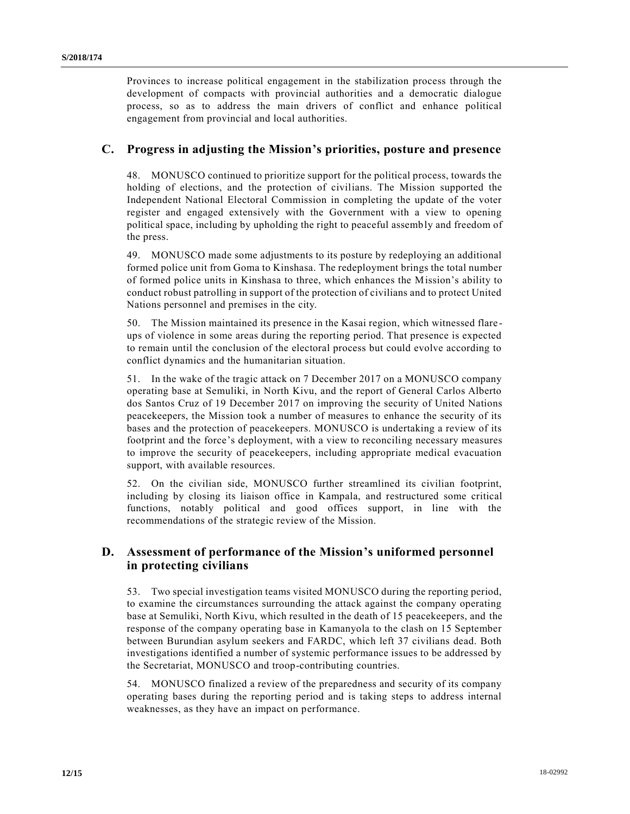Provinces to increase political engagement in the stabilization process through the development of compacts with provincial authorities and a democratic dialogue process, so as to address the main drivers of conflict and enhance political engagement from provincial and local authorities.

### **C. Progress in adjusting the Mission's priorities, posture and presence**

48. MONUSCO continued to prioritize support for the political process, towards the holding of elections, and the protection of civilians. The Mission supported the Independent National Electoral Commission in completing the update of the voter register and engaged extensively with the Government with a view to opening political space, including by upholding the right to peaceful assembly and freedom of the press.

49. MONUSCO made some adjustments to its posture by redeploying an additional formed police unit from Goma to Kinshasa. The redeployment brings the total number of formed police units in Kinshasa to three, which enhances the Mission's ability to conduct robust patrolling in support of the protection of civilians and to protect United Nations personnel and premises in the city.

50. The Mission maintained its presence in the Kasai region, which witnessed flare ups of violence in some areas during the reporting period. That presence is expected to remain until the conclusion of the electoral process but could evolve according to conflict dynamics and the humanitarian situation.

51. In the wake of the tragic attack on 7 December 2017 on a MONUSCO company operating base at Semuliki, in North Kivu, and the report of General Carlos Alberto dos Santos Cruz of 19 December 2017 on improving the security of United Nations peacekeepers, the Mission took a number of measures to enhance the security of its bases and the protection of peacekeepers. MONUSCO is undertaking a review of its footprint and the force's deployment, with a view to reconciling necessary measures to improve the security of peacekeepers, including appropriate medical evacuation support, with available resources.

52. On the civilian side, MONUSCO further streamlined its civilian footprint, including by closing its liaison office in Kampala, and restructured some critical functions, notably political and good offices support, in line with the recommendations of the strategic review of the Mission.

## **D. Assessment of performance of the Mission's uniformed personnel in protecting civilians**

53. Two special investigation teams visited MONUSCO during the reporting period, to examine the circumstances surrounding the attack against the company operating base at Semuliki, North Kivu, which resulted in the death of 15 peacekeepers, and the response of the company operating base in Kamanyola to the clash on 15 September between Burundian asylum seekers and FARDC, which left 37 civilians dead. Both investigations identified a number of systemic performance issues to be addressed by the Secretariat, MONUSCO and troop-contributing countries.

54. MONUSCO finalized a review of the preparedness and security of its company operating bases during the reporting period and is taking steps to address internal weaknesses, as they have an impact on performance.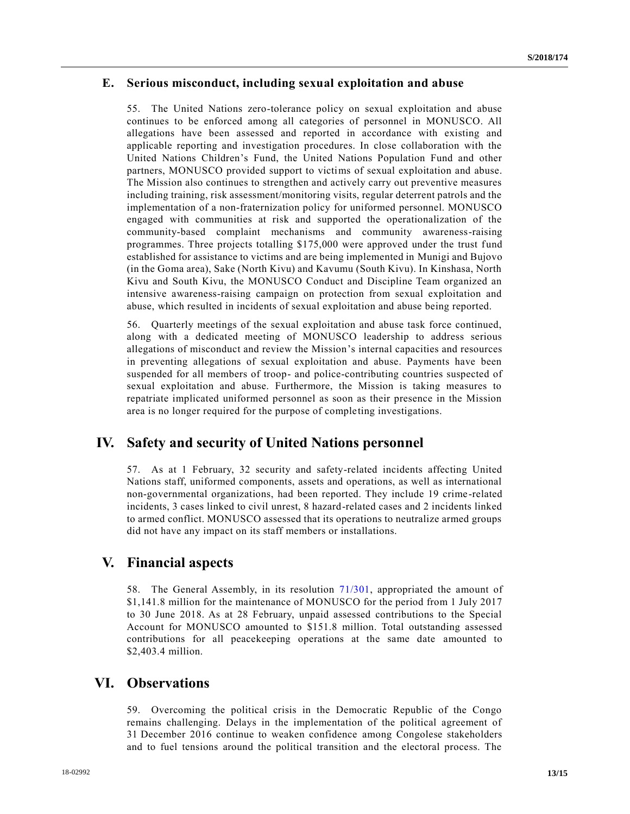### **E. Serious misconduct, including sexual exploitation and abuse**

55. The United Nations zero-tolerance policy on sexual exploitation and abuse continues to be enforced among all categories of personnel in MONUSCO. All allegations have been assessed and reported in accordance with existing and applicable reporting and investigation procedures. In close collaboration with the United Nations Children's Fund, the United Nations Population Fund and other partners, MONUSCO provided support to victims of sexual exploitation and abuse. The Mission also continues to strengthen and actively carry out preventive measures including training, risk assessment/monitoring visits, regular deterrent patrols and the implementation of a non-fraternization policy for uniformed personnel. MONUSCO engaged with communities at risk and supported the operationalization of the community-based complaint mechanisms and community awareness-raising programmes. Three projects totalling \$175,000 were approved under the trust fund established for assistance to victims and are being implemented in Munigi and Bujovo (in the Goma area), Sake (North Kivu) and Kavumu (South Kivu). In Kinshasa, North Kivu and South Kivu, the MONUSCO Conduct and Discipline Team organized an intensive awareness-raising campaign on protection from sexual exploitation and abuse, which resulted in incidents of sexual exploitation and abuse being reported.

56. Quarterly meetings of the sexual exploitation and abuse task force continued, along with a dedicated meeting of MONUSCO leadership to address serious allegations of misconduct and review the Mission's internal capacities and resources in preventing allegations of sexual exploitation and abuse. Payments have been suspended for all members of troop- and police-contributing countries suspected of sexual exploitation and abuse. Furthermore, the Mission is taking measures to repatriate implicated uniformed personnel as soon as their presence in the Mission area is no longer required for the purpose of completing investigations.

## **IV. Safety and security of United Nations personnel**

57. As at 1 February, 32 security and safety-related incidents affecting United Nations staff, uniformed components, assets and operations, as well as international non-governmental organizations, had been reported. They include 19 crime -related incidents, 3 cases linked to civil unrest, 8 hazard-related cases and 2 incidents linked to armed conflict. MONUSCO assessed that its operations to neutralize armed groups did not have any impact on its staff members or installations.

## **V. Financial aspects**

58. The General Assembly, in its resolution [71/301,](https://undocs.org/A/RES/71/301) appropriated the amount of \$1,141.8 million for the maintenance of MONUSCO for the period from 1 July 2017 to 30 June 2018. As at 28 February, unpaid assessed contributions to the Special Account for MONUSCO amounted to \$151.8 million. Total outstanding assessed contributions for all peacekeeping operations at the same date amounted to \$2,403.4 million.

## **VI. Observations**

59. Overcoming the political crisis in the Democratic Republic of the Congo remains challenging. Delays in the implementation of the political agreement of 31 December 2016 continue to weaken confidence among Congolese stakeholders and to fuel tensions around the political transition and the electoral process. The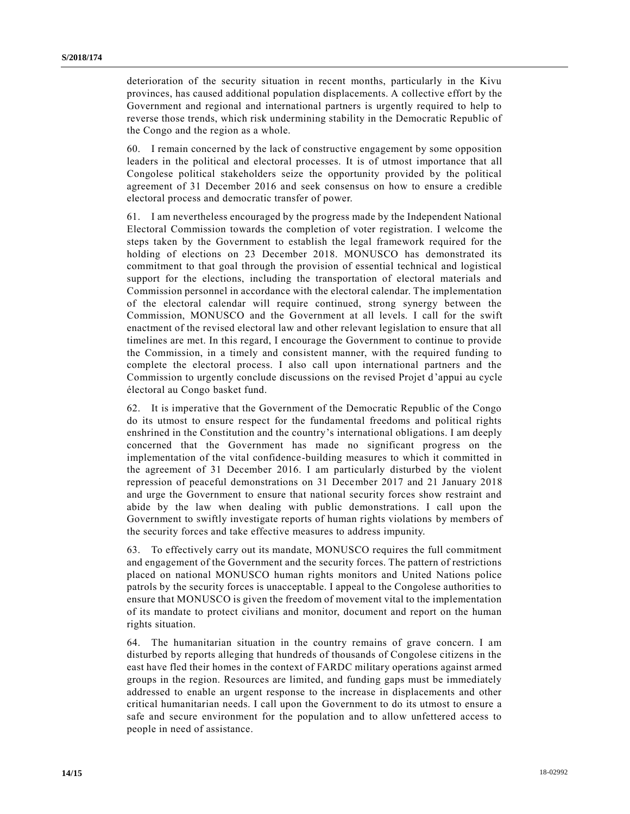deterioration of the security situation in recent months, particularly in the Kivu provinces, has caused additional population displacements. A collective effort by the Government and regional and international partners is urgently required to help to reverse those trends, which risk undermining stability in the Democratic Republic of the Congo and the region as a whole.

60. I remain concerned by the lack of constructive engagement by some opposition leaders in the political and electoral processes. It is of utmost importance that all Congolese political stakeholders seize the opportunity provided by the political agreement of 31 December 2016 and seek consensus on how to ensure a credible electoral process and democratic transfer of power.

61. I am nevertheless encouraged by the progress made by the Independent National Electoral Commission towards the completion of voter registration. I welcome the steps taken by the Government to establish the legal framework required for the holding of elections on 23 December 2018. MONUSCO has demonstrated its commitment to that goal through the provision of essential technical and logistical support for the elections, including the transportation of electoral materials and Commission personnel in accordance with the electoral calendar. The implementation of the electoral calendar will require continued, strong synergy between the Commission, MONUSCO and the Government at all levels. I call for the swift enactment of the revised electoral law and other relevant legislation to ensure that all timelines are met. In this regard, I encourage the Government to continue to provide the Commission, in a timely and consistent manner, with the required funding to complete the electoral process. I also call upon international partners and the Commission to urgently conclude discussions on the revised Projet d'appui au cycle électoral au Congo basket fund.

62. It is imperative that the Government of the Democratic Republic of the Congo do its utmost to ensure respect for the fundamental freedoms and political rights enshrined in the Constitution and the country's international obligations. I am deeply concerned that the Government has made no significant progress on the implementation of the vital confidence-building measures to which it committed in the agreement of 31 December 2016. I am particularly disturbed by the violent repression of peaceful demonstrations on 31 December 2017 and 21 January 2018 and urge the Government to ensure that national security forces show restraint and abide by the law when dealing with public demonstrations. I call upon the Government to swiftly investigate reports of human rights violations by members of the security forces and take effective measures to address impunity.

63. To effectively carry out its mandate, MONUSCO requires the full commitment and engagement of the Government and the security forces. The pattern of restrictions placed on national MONUSCO human rights monitors and United Nations police patrols by the security forces is unacceptable. I appeal to the Congolese authorities to ensure that MONUSCO is given the freedom of movement vital to the implementation of its mandate to protect civilians and monitor, document and report on the human rights situation.

64. The humanitarian situation in the country remains of grave concern. I am disturbed by reports alleging that hundreds of thousands of Congolese citizens in the east have fled their homes in the context of FARDC military operations against armed groups in the region. Resources are limited, and funding gaps must be immediately addressed to enable an urgent response to the increase in displacements and other critical humanitarian needs. I call upon the Government to do its utmost to ensure a safe and secure environment for the population and to allow unfettered access to people in need of assistance.